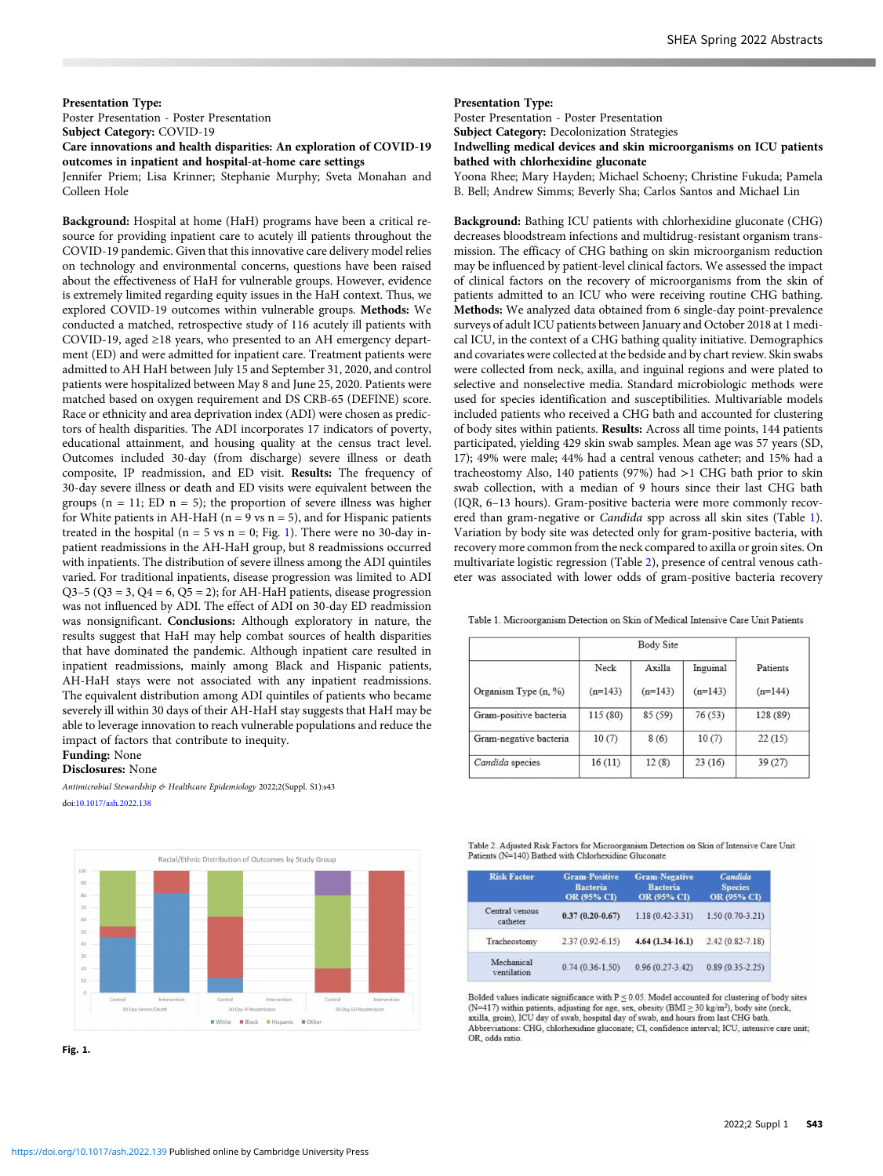## Presentation Type:

Poster Presentation - Poster Presentation

# Subject Category: COVID-19 Care innovations and health disparities: An exploration of COVID-19 outcomes in inpatient and hospital-at-home care settings

Jennifer Priem; Lisa Krinner; Stephanie Murphy; Sveta Monahan and Colleen Hole

Background: Hospital at home (HaH) programs have been a critical resource for providing inpatient care to acutely ill patients throughout the COVID-19 pandemic. Given that this innovative care delivery model relies on technology and environmental concerns, questions have been raised about the effectiveness of HaH for vulnerable groups. However, evidence is extremely limited regarding equity issues in the HaH context. Thus, we explored COVID-19 outcomes within vulnerable groups. Methods: We conducted a matched, retrospective study of 116 acutely ill patients with COVID-19, aged ≥18 years, who presented to an AH emergency department (ED) and were admitted for inpatient care. Treatment patients were admitted to AH HaH between July 15 and September 31, 2020, and control patients were hospitalized between May 8 and June 25, 2020. Patients were matched based on oxygen requirement and DS CRB-65 (DEFINE) score. Race or ethnicity and area deprivation index (ADI) were chosen as predictors of health disparities. The ADI incorporates 17 indicators of poverty, educational attainment, and housing quality at the census tract level. Outcomes included 30-day (from discharge) severe illness or death composite, IP readmission, and ED visit. Results: The frequency of 30-day severe illness or death and ED visits were equivalent between the groups ( $n = 11$ ; ED  $n = 5$ ); the proportion of severe illness was higher for White patients in AH-HaH ( $n = 9$  vs  $n = 5$ ), and for Hispanic patients treated in the hospital ( $n = 5$  vs  $n = 0$ ; Fig. 1). There were no 30-day inpatient readmissions in the AH-HaH group, but 8 readmissions occurred with inpatients. The distribution of severe illness among the ADI quintiles varied. For traditional inpatients, disease progression was limited to ADI  $Q3-5$  ( $Q3 = 3$ ,  $Q4 = 6$ ,  $Q5 = 2$ ); for AH-HaH patients, disease progression was not influenced by ADI. The effect of ADI on 30-day ED readmission was nonsignificant. Conclusions: Although exploratory in nature, the results suggest that HaH may help combat sources of health disparities that have dominated the pandemic. Although inpatient care resulted in inpatient readmissions, mainly among Black and Hispanic patients, AH-HaH stays were not associated with any inpatient readmissions. The equivalent distribution among ADI quintiles of patients who became severely ill within 30 days of their AH-HaH stay suggests that HaH may be able to leverage innovation to reach vulnerable populations and reduce the impact of factors that contribute to inequity.

#### Funding: None

Disclosures: None

Antimicrobial Stewardship & Healthcare Epidemiology 2022;2(Suppl. S1):s43 doi:[10.1017/ash.2022.138](https://doi.org/10.1017/ash.2022.138)



Fig. 1.

#### Presentation Type:

Poster Presentation - Poster Presentation

Subject Category: Decolonization Strategies

Indwelling medical devices and skin microorganisms on ICU patients bathed with chlorhexidine gluconate

Yoona Rhee; Mary Hayden; Michael Schoeny; Christine Fukuda; Pamela B. Bell; Andrew Simms; Beverly Sha; Carlos Santos and Michael Lin

Background: Bathing ICU patients with chlorhexidine gluconate (CHG) decreases bloodstream infections and multidrug-resistant organism transmission. The efficacy of CHG bathing on skin microorganism reduction may be influenced by patient-level clinical factors. We assessed the impact of clinical factors on the recovery of microorganisms from the skin of patients admitted to an ICU who were receiving routine CHG bathing. Methods: We analyzed data obtained from 6 single-day point-prevalence surveys of adult ICU patients between January and October 2018 at 1 medical ICU, in the context of a CHG bathing quality initiative. Demographics and covariates were collected at the bedside and by chart review. Skin swabs were collected from neck, axilla, and inguinal regions and were plated to selective and nonselective media. Standard microbiologic methods were used for species identification and susceptibilities. Multivariable models included patients who received a CHG bath and accounted for clustering of body sites within patients. Results: Across all time points, 144 patients participated, yielding 429 skin swab samples. Mean age was 57 years (SD, 17); 49% were male; 44% had a central venous catheter; and 15% had a tracheostomy Also, 140 patients (97%) had >1 CHG bath prior to skin swab collection, with a median of 9 hours since their last CHG bath (IQR, 6–13 hours). Gram-positive bacteria were more commonly recovered than gram-negative or Candida spp across all skin sites (Table 1). Variation by body site was detected only for gram-positive bacteria, with recovery more common from the neck compared to axilla or groin sites. On multivariate logistic regression (Table 2), presence of central venous catheter was associated with lower odds of gram-positive bacteria recovery

Table 1. Microorganism Detection on Skin of Medical Intensive Care Unit Patients

|                        | Body Site |           |           |           |  |
|------------------------|-----------|-----------|-----------|-----------|--|
|                        | Neck      | Axilla    | Inguinal  | Patients  |  |
| Organism Type (n, %)   | $(n=143)$ | $(n=143)$ | $(n=143)$ | $(n=144)$ |  |
| Gram-positive bacteria | 115 (80)  | 85 (59)   | 76(53)    | 128 (89)  |  |
| Gram-negative bacteria | 10(7)     | 8(6)      | 10(7)     | 22(15)    |  |
| Candida species        | 16(11)    | 12(8)     | 23(16)    | 39(27)    |  |

| Table 2. Adjusted Risk Factors for Microorganism Detection on Skin of Intensive Care Unit |
|-------------------------------------------------------------------------------------------|
| Patients (N=140) Bathed with Chlorhexidine Gluconate                                      |

| <b>Risk Factor</b>         | <b>Gram-Positive</b><br><b>Bacteria</b><br>OR (95% CI) | <b>Gram-Negative</b><br><b>Bacteria</b><br>OR (95% CI) | Candida<br><b>Species</b><br>OR (95% CI) |  |
|----------------------------|--------------------------------------------------------|--------------------------------------------------------|------------------------------------------|--|
| Central venous<br>catheter | $0.37(0.20-0.67)$                                      | $1.18(0.42 - 3.31)$                                    | $1.50(0.70-3.21)$                        |  |
| Tracheostomy               | $2.37(0.92 - 6.15)$                                    | $4.64(1.34-16.1)$                                      | $2.42(0.82 - 7.18)$                      |  |
| Mechanical<br>ventilation  | $0.74(0.36 - 1.50)$                                    | $0.96(0.27 - 3.42)$                                    | $0.89(0.35 - 2.25)$                      |  |

Bolded values indicate significance with  $P < 0.05$ . Model accounted for clustering of body sites (N=417) within patients, adjusting for age, sex, obesity (BMI  $\geq$  30 kg/m<sup>2</sup>), body site (neck, axilla, groin), ICU day of swab, hospital day of swab, and hours from last CHG bath. Abbreviations: CHG, chlorhexidine gluconate; CI, confidence interval; ICU, intensive care unit; OR, odds ratio